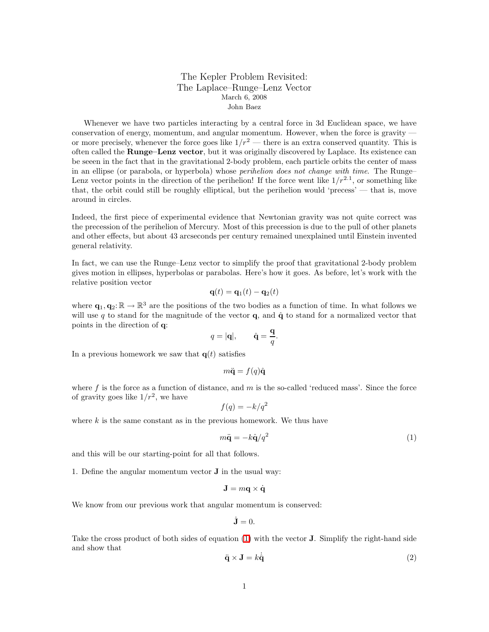## The Kepler Problem Revisited: The Laplace–Runge–Lenz Vector March 6, 2008 John Baez

Whenever we have two particles interacting by a central force in 3d Euclidean space, we have conservation of energy, momentum, and angular momentum. However, when the force is gravity  $$ or more precisely, whenever the force goes like  $1/r^2$  — there is an extra conserved quantity. This is often called the Runge–Lenz vector, but it was originally discovered by Laplace. Its existence can be seeen in the fact that in the gravitational 2-body problem, each particle orbits the center of mass in an ellipse (or parabola, or hyperbola) whose perihelion does not change with time. The Runge– Lenz vector points in the direction of the perihelion! If the force went like  $1/r^{2.1}$ , or something like that, the orbit could still be roughly elliptical, but the perihelion would 'precess' — that is, move around in circles.

Indeed, the first piece of experimental evidence that Newtonian gravity was not quite correct was the precession of the perihelion of Mercury. Most of this precession is due to the pull of other planets and other effects, but about 43 arcseconds per century remained unexplained until Einstein invented general relativity.

In fact, we can use the Runge–Lenz vector to simplify the proof that gravitational 2-body problem gives motion in ellipses, hyperbolas or parabolas. Here's how it goes. As before, let's work with the relative position vector

$$
\mathbf{q}(t) = \mathbf{q}_1(t) - \mathbf{q}_2(t)
$$

where  $\mathbf{q}_1, \mathbf{q}_2: \mathbb{R} \to \mathbb{R}^3$  are the positions of the two bodies as a function of time. In what follows we will use q to stand for the magnitude of the vector  $\mathbf{q}$ , and  $\hat{\mathbf{q}}$  to stand for a normalized vector that points in the direction of q:

$$
q = |\mathbf{q}|, \qquad \hat{\mathbf{q}} = \frac{\mathbf{q}}{q}.
$$

In a previous homework we saw that  $q(t)$  satisfies

$$
m\ddot{\mathbf{q}} = f(q)\hat{\mathbf{q}}
$$

where f is the force as a function of distance, and  $m$  is the so-called 'reduced mass'. Since the force of gravity goes like  $1/r^2$ , we have

$$
f(q) = -k/q^2
$$

where  $k$  is the same constant as in the previous homework. We thus have

<span id="page-0-0"></span>
$$
m\ddot{\mathbf{q}} = -k\hat{\mathbf{q}}/q^2\tag{1}
$$

and this will be our starting-point for all that follows.

1. Define the angular momentum vector J in the usual way:

$$
\mathbf{J}=m\mathbf{q}\times\dot{\mathbf{q}}
$$

We know from our previous work that angular momentum is conserved:

$$
\dot{\mathbf{J}}=0.
$$

Take the cross product of both sides of equation [\(1\)](#page-0-0) with the vector J. Simplify the right-hand side and show that

$$
\ddot{\mathbf{q}} \times \mathbf{J} = k\dot{\hat{\mathbf{q}}}
$$
 (2)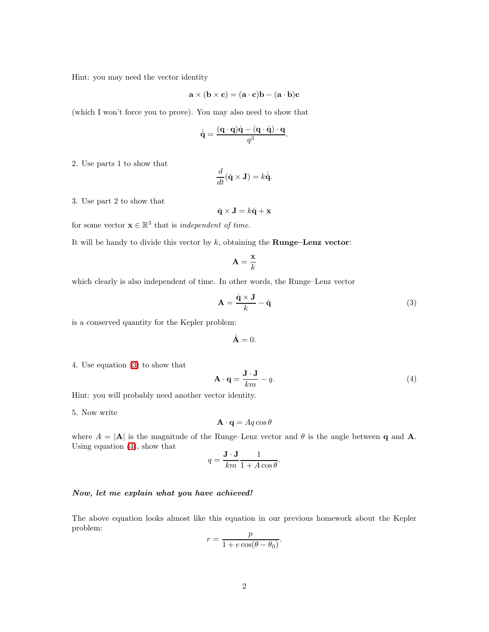Hint: you may need the vector identity

$$
\mathbf{a} \times (\mathbf{b} \times \mathbf{c}) = (\mathbf{a} \cdot \mathbf{c})\mathbf{b} - (\mathbf{a} \cdot \mathbf{b})\mathbf{c}
$$

(which I won't force you to prove). You may also need to show that

$$
\dot{\hat{\mathbf{q}}} = \frac{(\mathbf{q} \cdot \mathbf{q})\dot{\mathbf{q}} - (\mathbf{q} \cdot \dot{\mathbf{q}}) \cdot \mathbf{q}}{q^3}.
$$

2. Use parts 1 to show that

$$
\frac{d}{dt}(\dot{\mathbf{q}} \times \mathbf{J}) = k\dot{\hat{\mathbf{q}}}.
$$

3. Use part 2 to show that

$$
\dot{\mathbf{q}} \times \mathbf{J} = k\hat{\mathbf{q}} + \mathbf{x}
$$

for some vector  $\mathbf{x} \in \mathbb{R}^3$  that is *independent of time*.

It will be handy to divide this vector by  $k$ , obtaining the **Runge–Lenz vector:** 

$$
\mathbf{A} = \frac{\mathbf{x}}{k}
$$

which clearly is also independent of time. In other words, the Runge–Lenz vector

<span id="page-1-0"></span>
$$
\mathbf{A} = \frac{\dot{\mathbf{q}} \times \mathbf{J}}{k} - \hat{\mathbf{q}} \tag{3}
$$

is a conserved quantity for the Kepler problem:

$$
\dot{\mathbf{A}}=0.
$$

4. Use equation [\(3\)](#page-1-0) to show that

<span id="page-1-1"></span>
$$
\mathbf{A} \cdot \mathbf{q} = \frac{\mathbf{J} \cdot \mathbf{J}}{km} - q. \tag{4}
$$

Hint: you will probably need another vector identity.

5. Now write

$$
\mathbf{A} \cdot \mathbf{q} = Aq \cos \theta
$$

where  $A = |\mathbf{A}|$  is the magnitude of the Runge–Lenz vector and  $\theta$  is the angle between q and  $\mathbf{A}$ . Using equation [\(4\)](#page-1-1), show that

$$
q = \frac{\mathbf{J} \cdot \mathbf{J}}{km} \frac{1}{1 + A \cos \theta}.
$$

## Now, let me explain what you have achieved!

The above equation looks almost like this equation in our previous homework about the Kepler problem:

$$
r = \frac{p}{1 + e \cos(\theta - \theta_0)}.
$$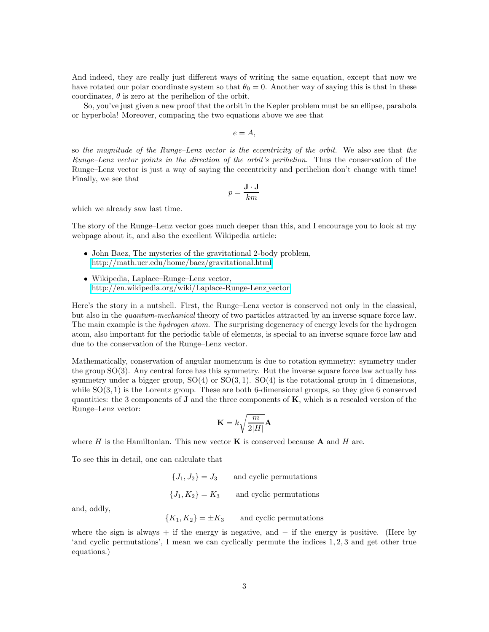And indeed, they are really just different ways of writing the same equation, except that now we have rotated our polar coordinate system so that  $\theta_0 = 0$ . Another way of saying this is that in these coordinates,  $\theta$  is zero at the perihelion of the orbit.

So, you've just given a new proof that the orbit in the Kepler problem must be an ellipse, parabola or hyperbola! Moreover, comparing the two equations above we see that

 $e = A$ ,

so the magnitude of the Runge–Lenz vector is the eccentricity of the orbit. We also see that the Runge–Lenz vector points in the direction of the orbit's perihelion. Thus the conservation of the Runge–Lenz vector is just a way of saying the eccentricity and perihelion don't change with time! Finally, we see that

$$
p = \frac{\mathbf{J} \cdot \mathbf{J}}{km}
$$

which we already saw last time.

The story of the Runge–Lenz vector goes much deeper than this, and I encourage you to look at my webpage about it, and also the excellent Wikipedia article:

- John Baez, The mysteries of the gravitational 2-body problem, <http://math.ucr.edu/home/baez/gravitational.html>
- Wikipedia, Laplace–Runge–Lenz vector, [http://en.wikipedia.org/wiki/Laplace-Runge-Lenz](http://en.wikipedia.org/wiki/Laplace-Runge-Lenz_vector) vector

Here's the story in a nutshell. First, the Runge–Lenz vector is conserved not only in the classical, but also in the *quantum-mechanical* theory of two particles attracted by an inverse square force law. The main example is the *hydrogen atom*. The surprising degeneracy of energy levels for the hydrogen atom, also important for the periodic table of elements, is special to an inverse square force law and due to the conservation of the Runge–Lenz vector.

Mathematically, conservation of angular momentum is due to rotation symmetry: symmetry under the group SO(3). Any central force has this symmetry. But the inverse square force law actually has symmetry under a bigger group,  $SO(4)$  or  $SO(3,1)$ .  $SO(4)$  is the rotational group in 4 dimensions, while  $SO(3, 1)$  is the Lorentz group. These are both 6-dimensional groups, so they give 6 conserved quantities: the 3 components of  $J$  and the three components of  $K$ , which is a rescaled version of the Runge–Lenz vector:

$$
\mathbf{K}=k\sqrt{\frac{m}{2|H|}}\mathbf{A}
$$

where H is the Hamiltonian. This new vector  $\bf{K}$  is conserved because  $\bf{A}$  and H are.

To see this in detail, one can calculate that

 ${J_1, J_2} = J_3$  and cyclic permutations  ${J_1, K_2} = K_3$  and cyclic permutations

and, oddly,

 ${K_1, K_2} = \pm K_3$  and cyclic permutations

where the sign is always + if the energy is negative, and  $-$  if the energy is positive. (Here by 'and cyclic permutations', I mean we can cyclically permute the indices 1, 2, 3 and get other true equations.)